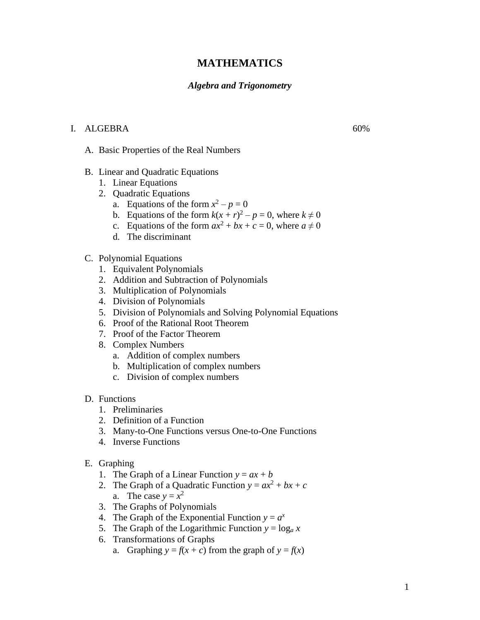# **MATHEMATICS**

#### *Algebra and Trigonometry*

### I. ALGEBRA 60%

A. Basic Properties of the Real Numbers

- B. Linear and Quadratic Equations
	- 1. Linear Equations
	- 2. Quadratic Equations
		- a. Equations of the form  $x^2 p = 0$
		- b. Equations of the form  $k(x + r)^2 p = 0$ , where  $k \neq 0$
		- c. Equations of the form  $ax^2 + bx + c = 0$ , where  $a \neq 0$
		- d. The discriminant
- C. Polynomial Equations
	- 1. Equivalent Polynomials
	- 2. Addition and Subtraction of Polynomials
	- 3. Multiplication of Polynomials
	- 4. Division of Polynomials
	- 5. Division of Polynomials and Solving Polynomial Equations
	- 6. Proof of the Rational Root Theorem
	- 7. Proof of the Factor Theorem
	- 8. Complex Numbers
		- a. Addition of complex numbers
		- b. Multiplication of complex numbers
		- c. Division of complex numbers
- D. Functions
	- 1. Preliminaries
	- 2. Definition of a Function
	- 3. Many-to-One Functions versus One-to-One Functions
	- 4. Inverse Functions
- E. Graphing
	- 1. The Graph of a Linear Function  $y = ax + b$
	- 2. The Graph of a Quadratic Function  $y = ax^2 + bx + c$ a. The case  $y = x^2$
	- 3. The Graphs of Polynomials
	- 4. The Graph of the Exponential Function  $y = a^x$
	- 5. The Graph of the Logarithmic Function  $y = \log_a x$
	- 6. Transformations of Graphs
		- a. Graphing  $y = f(x + c)$  from the graph of  $y = f(x)$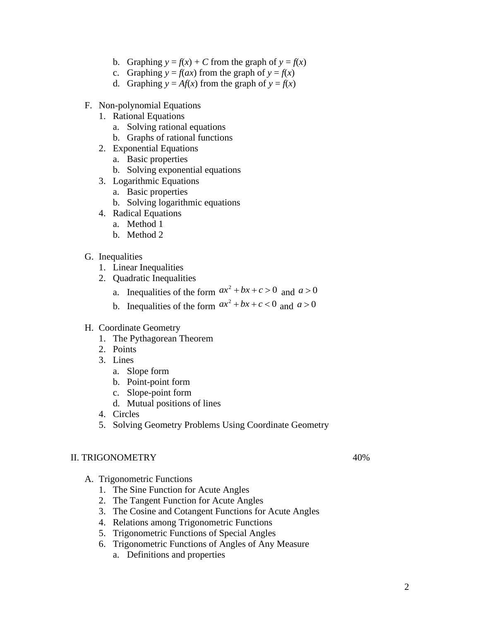- b. Graphing  $y = f(x) + C$  from the graph of  $y = f(x)$
- c. Graphing  $y = f(ax)$  from the graph of  $y = f(x)$
- d. Graphing  $y = Af(x)$  from the graph of  $y = f(x)$
- F. Non-polynomial Equations
	- 1. Rational Equations
		- a. Solving rational equations
		- b. Graphs of rational functions
	- 2. Exponential Equations
		- a. Basic properties
		- b. Solving exponential equations
	- 3. Logarithmic Equations
		- a. Basic properties
		- b. Solving logarithmic equations
	- 4. Radical Equations
		- a. Method 1
		- b. Method 2
- G. Inequalities
	- 1. Linear Inequalities
	- 2. Quadratic Inequalities
		- a. Inequalities of the form  $ax^2 + bx + c > 0$  and  $a > 0$
		- b. Inequalities of the form  $ax^2 + bx + c < 0$  and  $a > 0$
- H. Coordinate Geometry
	- 1. The Pythagorean Theorem
	- 2. Points
	- 3. Lines
		- a. Slope form
		- b. Point-point form
		- c. Slope-point form
		- d. Mutual positions of lines
	- 4. Circles
	- 5. Solving Geometry Problems Using Coordinate Geometry

## II. TRIGONOMETRY 40%

- A. Trigonometric Functions
	- 1. The Sine Function for Acute Angles
	- 2. The Tangent Function for Acute Angles
	- 3. The Cosine and Cotangent Functions for Acute Angles
	- 4. Relations among Trigonometric Functions
	- 5. Trigonometric Functions of Special Angles
	- 6. Trigonometric Functions of Angles of Any Measure
		- a. Definitions and properties